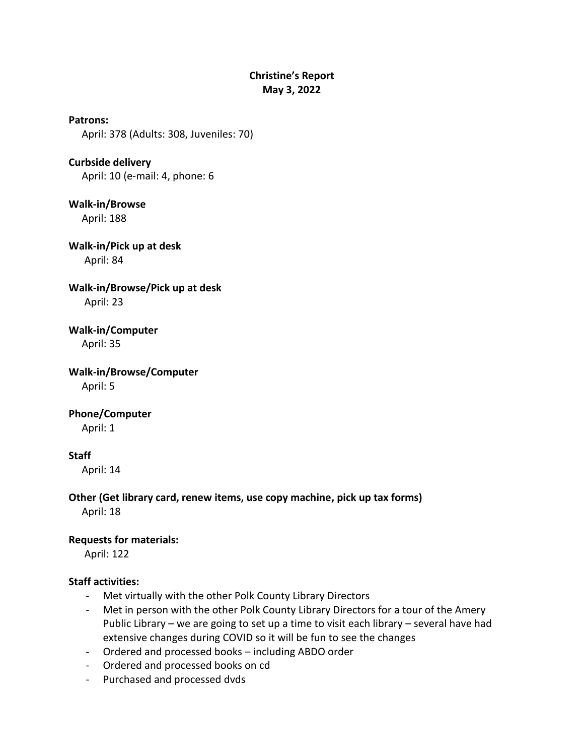## **Christine's Report May 3, 2022**

**Patrons:** April: 378 (Adults: 308, Juveniles: 70)

**Curbside delivery** April: 10 (e-mail: 4, phone: 6

**Walk-in/Browse** April: 188

**Walk-in/Pick up at desk** April: 84

**Walk-in/Browse/Pick up at desk** April: 23

**Walk-in/Computer** April: 35

**Walk-in/Browse/Computer** April: 5

**Phone/Computer**

April: 1

## **Staff**

April: 14

**Other (Get library card, renew items, use copy machine, pick up tax forms)** April: 18

## **Requests for materials:**

April: 122

## **Staff activities:**

- Met virtually with the other Polk County Library Directors
- Met in person with the other Polk County Library Directors for a tour of the Amery Public Library – we are going to set up a time to visit each library – several have had extensive changes during COVID so it will be fun to see the changes
- Ordered and processed books including ABDO order
- Ordered and processed books on cd
- Purchased and processed dvds